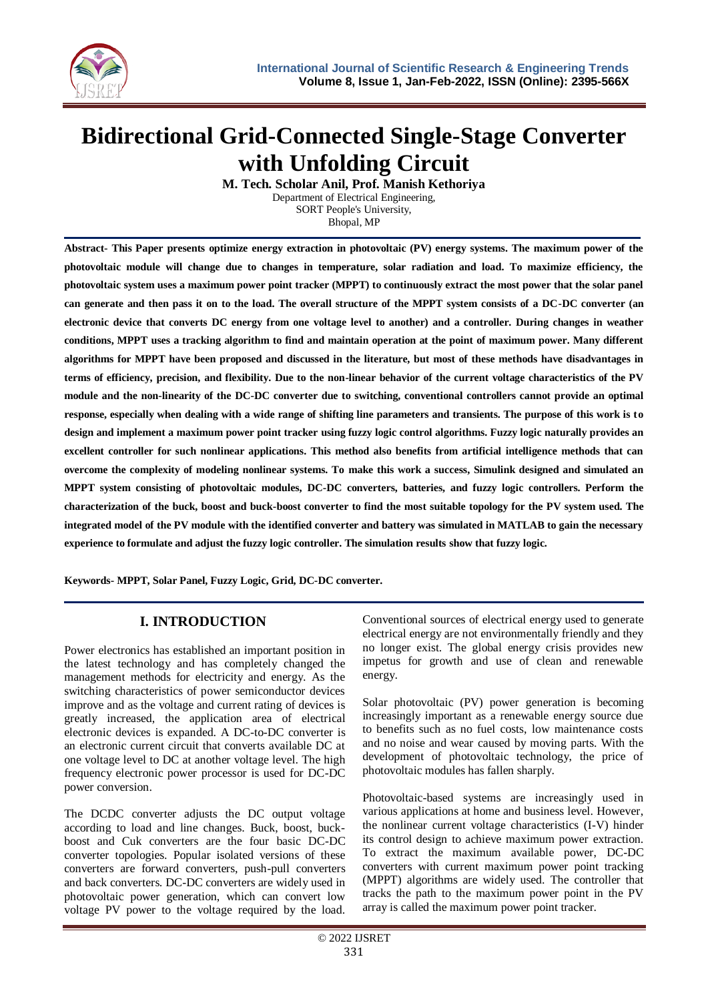

# **Bidirectional Grid-Connected Single-Stage Converter with Unfolding Circuit**

**M. Tech. Scholar Anil, Prof. Manish Kethoriya**

Department of Electrical Engineering, SORT People's University,

Bhopal, MP

**Abstract- This Paper presents optimize energy extraction in photovoltaic (PV) energy systems. The maximum power of the photovoltaic module will change due to changes in temperature, solar radiation and load. To maximize efficiency, the photovoltaic system uses a maximum power point tracker (MPPT) to continuously extract the most power that the solar panel can generate and then pass it on to the load. The overall structure of the MPPT system consists of a DC-DC converter (an electronic device that converts DC energy from one voltage level to another) and a controller. During changes in weather conditions, MPPT uses a tracking algorithm to find and maintain operation at the point of maximum power. Many different algorithms for MPPT have been proposed and discussed in the literature, but most of these methods have disadvantages in terms of efficiency, precision, and flexibility. Due to the non-linear behavior of the current voltage characteristics of the PV module and the non-linearity of the DC-DC converter due to switching, conventional controllers cannot provide an optimal response, especially when dealing with a wide range of shifting line parameters and transients. The purpose of this work is to design and implement a maximum power point tracker using fuzzy logic control algorithms. Fuzzy logic naturally provides an excellent controller for such nonlinear applications. This method also benefits from artificial intelligence methods that can overcome the complexity of modeling nonlinear systems. To make this work a success, Simulink designed and simulated an MPPT system consisting of photovoltaic modules, DC-DC converters, batteries, and fuzzy logic controllers. Perform the characterization of the buck, boost and buck-boost converter to find the most suitable topology for the PV system used. The integrated model of the PV module with the identified converter and battery was simulated in MATLAB to gain the necessary experience to formulate and adjust the fuzzy logic controller. The simulation results show that fuzzy logic.**

**Keywords- MPPT, Solar Panel, Fuzzy Logic, Grid, DC-DC converter.**

## **I. INTRODUCTION**

Power electronics has established an important position in the latest technology and has completely changed the management methods for electricity and energy. As the switching characteristics of power semiconductor devices improve and as the voltage and current rating of devices is greatly increased, the application area of electrical electronic devices is expanded. A DC-to-DC converter is an electronic current circuit that converts available DC at one voltage level to DC at another voltage level. The high frequency electronic power processor is used for DC-DC power conversion.

The DCDC converter adjusts the DC output voltage according to load and line changes. Buck, boost, buckboost and Cuk converters are the four basic DC-DC converter topologies. Popular isolated versions of these converters are forward converters, push-pull converters and back converters. DC-DC converters are widely used in photovoltaic power generation, which can convert low voltage PV power to the voltage required by the load. Conventional sources of electrical energy used to generate electrical energy are not environmentally friendly and they no longer exist. The global energy crisis provides new impetus for growth and use of clean and renewable energy.

Solar photovoltaic (PV) power generation is becoming increasingly important as a renewable energy source due to benefits such as no fuel costs, low maintenance costs and no noise and wear caused by moving parts. With the development of photovoltaic technology, the price of photovoltaic modules has fallen sharply.

Photovoltaic-based systems are increasingly used in various applications at home and business level. However, the nonlinear current voltage characteristics (I-V) hinder its control design to achieve maximum power extraction. To extract the maximum available power, DC-DC converters with current maximum power point tracking (MPPT) algorithms are widely used. The controller that tracks the path to the maximum power point in the PV array is called the maximum power point tracker.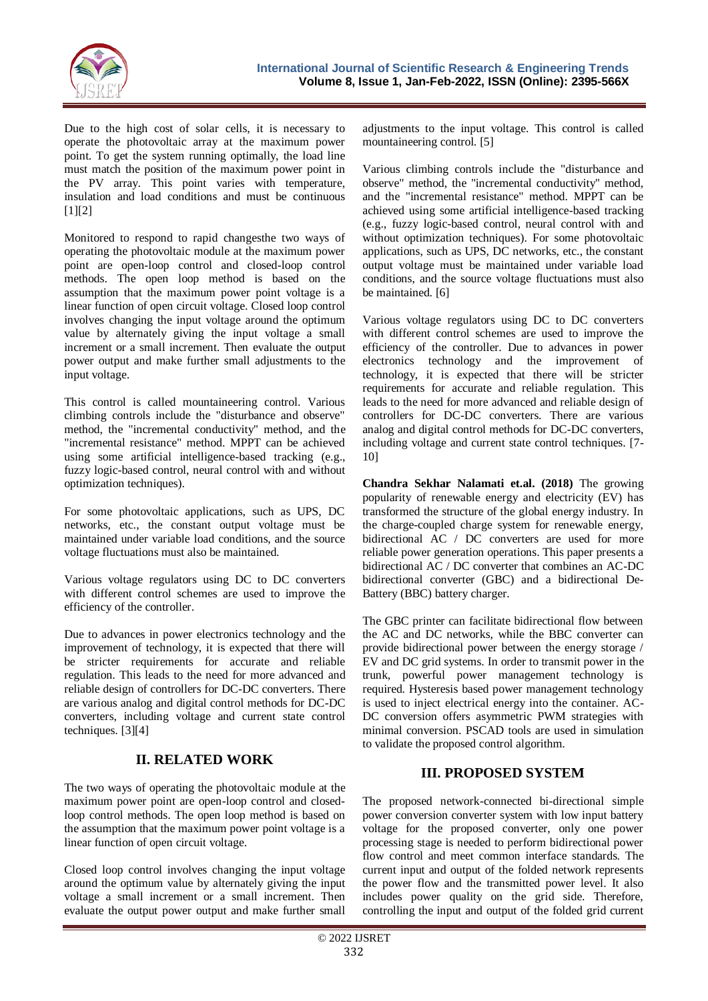

Due to the high cost of solar cells, it is necessary to operate the photovoltaic array at the maximum power point. To get the system running optimally, the load line must match the position of the maximum power point in the PV array. This point varies with temperature, insulation and load conditions and must be continuous [1][2]

Monitored to respond to rapid changesthe two ways of operating the photovoltaic module at the maximum power point are open-loop control and closed-loop control methods. The open loop method is based on the assumption that the maximum power point voltage is a linear function of open circuit voltage. Closed loop control involves changing the input voltage around the optimum value by alternately giving the input voltage a small increment or a small increment. Then evaluate the output power output and make further small adjustments to the input voltage.

This control is called mountaineering control. Various climbing controls include the "disturbance and observe" method, the "incremental conductivity" method, and the "incremental resistance" method. MPPT can be achieved using some artificial intelligence-based tracking (e.g., fuzzy logic-based control, neural control with and without optimization techniques).

For some photovoltaic applications, such as UPS, DC networks, etc., the constant output voltage must be maintained under variable load conditions, and the source voltage fluctuations must also be maintained.

Various voltage regulators using DC to DC converters with different control schemes are used to improve the efficiency of the controller.

Due to advances in power electronics technology and the improvement of technology, it is expected that there will be stricter requirements for accurate and reliable regulation. This leads to the need for more advanced and reliable design of controllers for DC-DC converters. There are various analog and digital control methods for DC-DC converters, including voltage and current state control techniques. [3][4]

## **II. RELATED WORK**

The two ways of operating the photovoltaic module at the maximum power point are open-loop control and closedloop control methods. The open loop method is based on the assumption that the maximum power point voltage is a linear function of open circuit voltage.

Closed loop control involves changing the input voltage around the optimum value by alternately giving the input voltage a small increment or a small increment. Then evaluate the output power output and make further small

adjustments to the input voltage. This control is called mountaineering control. [5]

Various climbing controls include the "disturbance and observe" method, the "incremental conductivity" method, and the "incremental resistance" method. MPPT can be achieved using some artificial intelligence-based tracking (e.g., fuzzy logic-based control, neural control with and without optimization techniques). For some photovoltaic applications, such as UPS, DC networks, etc., the constant output voltage must be maintained under variable load conditions, and the source voltage fluctuations must also be maintained. [6]

Various voltage regulators using DC to DC converters with different control schemes are used to improve the efficiency of the controller. Due to advances in power electronics technology and the improvement of technology, it is expected that there will be stricter requirements for accurate and reliable regulation. This leads to the need for more advanced and reliable design of controllers for DC-DC converters. There are various analog and digital control methods for DC-DC converters, including voltage and current state control techniques. [7- 10]

**Chandra Sekhar Nalamati et.al. (2018)** The growing popularity of renewable energy and electricity (EV) has transformed the structure of the global energy industry. In the charge-coupled charge system for renewable energy, bidirectional AC / DC converters are used for more reliable power generation operations. This paper presents a bidirectional AC / DC converter that combines an AC-DC bidirectional converter (GBC) and a bidirectional De-Battery (BBC) battery charger.

The GBC printer can facilitate bidirectional flow between the AC and DC networks, while the BBC converter can provide bidirectional power between the energy storage / EV and DC grid systems. In order to transmit power in the trunk, powerful power management technology is required. Hysteresis based power management technology is used to inject electrical energy into the container. AC-DC conversion offers asymmetric PWM strategies with minimal conversion. PSCAD tools are used in simulation to validate the proposed control algorithm.

## **III. PROPOSED SYSTEM**

The proposed network-connected bi-directional simple power conversion converter system with low input battery voltage for the proposed converter, only one power processing stage is needed to perform bidirectional power flow control and meet common interface standards. The current input and output of the folded network represents the power flow and the transmitted power level. It also includes power quality on the grid side. Therefore, controlling the input and output of the folded grid current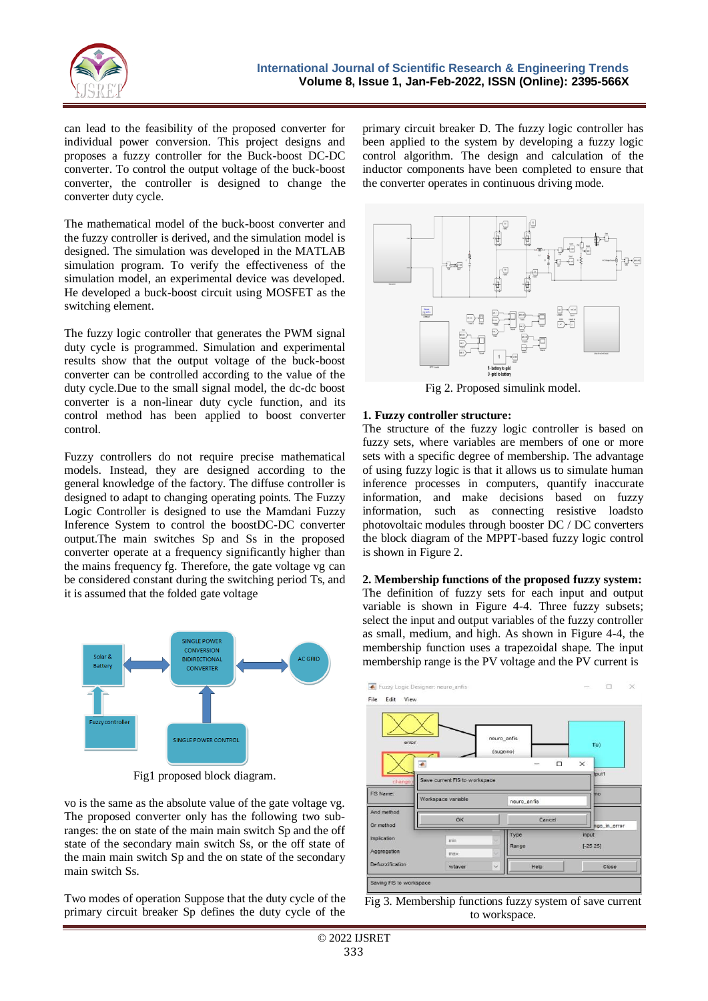

can lead to the feasibility of the proposed converter for individual power conversion. This project designs and proposes a fuzzy controller for the Buck-boost DC-DC converter. To control the output voltage of the buck-boost converter, the controller is designed to change the converter duty cycle.

The mathematical model of the buck-boost converter and the fuzzy controller is derived, and the simulation model is designed. The simulation was developed in the MATLAB simulation program. To verify the effectiveness of the simulation model, an experimental device was developed. He developed a buck-boost circuit using MOSFET as the switching element.

The fuzzy logic controller that generates the PWM signal duty cycle is programmed. Simulation and experimental results show that the output voltage of the buck-boost converter can be controlled according to the value of the duty cycle.Due to the small signal model, the dc-dc boost converter is a non-linear duty cycle function, and its control method has been applied to boost converter control.

Fuzzy controllers do not require precise mathematical models. Instead, they are designed according to the general knowledge of the factory. The diffuse controller is designed to adapt to changing operating points. The Fuzzy Logic Controller is designed to use the Mamdani Fuzzy Inference System to control the boostDC-DC converter output.The main switches Sp and Ss in the proposed converter operate at a frequency significantly higher than the mains frequency fg. Therefore, the gate voltage vg can be considered constant during the switching period Ts, and it is assumed that the folded gate voltage



Fig1 proposed block diagram.

vo is the same as the absolute value of the gate voltage vg. The proposed converter only has the following two subranges: the on state of the main main switch Sp and the off state of the secondary main switch Ss, or the off state of the main main switch Sp and the on state of the secondary main switch Ss.

Two modes of operation Suppose that the duty cycle of the primary circuit breaker Sp defines the duty cycle of the

primary circuit breaker D. The fuzzy logic controller has been applied to the system by developing a fuzzy logic control algorithm. The design and calculation of the inductor components have been completed to ensure that the converter operates in continuous driving mode.



Fig 2. Proposed simulink model.

#### **1. Fuzzy controller structure:**

The structure of the fuzzy logic controller is based on fuzzy sets, where variables are members of one or more sets with a specific degree of membership. The advantage of using fuzzy logic is that it allows us to simulate human inference processes in computers, quantify inaccurate information, and make decisions based on fuzzy information, such as connecting resistive loadsto photovoltaic modules through booster DC / DC converters the block diagram of the MPPT-based fuzzy logic control is shown in Figure 2.

## **2. Membership functions of the proposed fuzzy system:**

The definition of fuzzy sets for each input and output variable is shown in Figure 4-4. Three fuzzy subsets; select the input and output variables of the fuzzy controller as small, medium, and high. As shown in Figure 4-4, the membership function uses a trapezoidal shape. The input membership range is the PV voltage and the PV current is



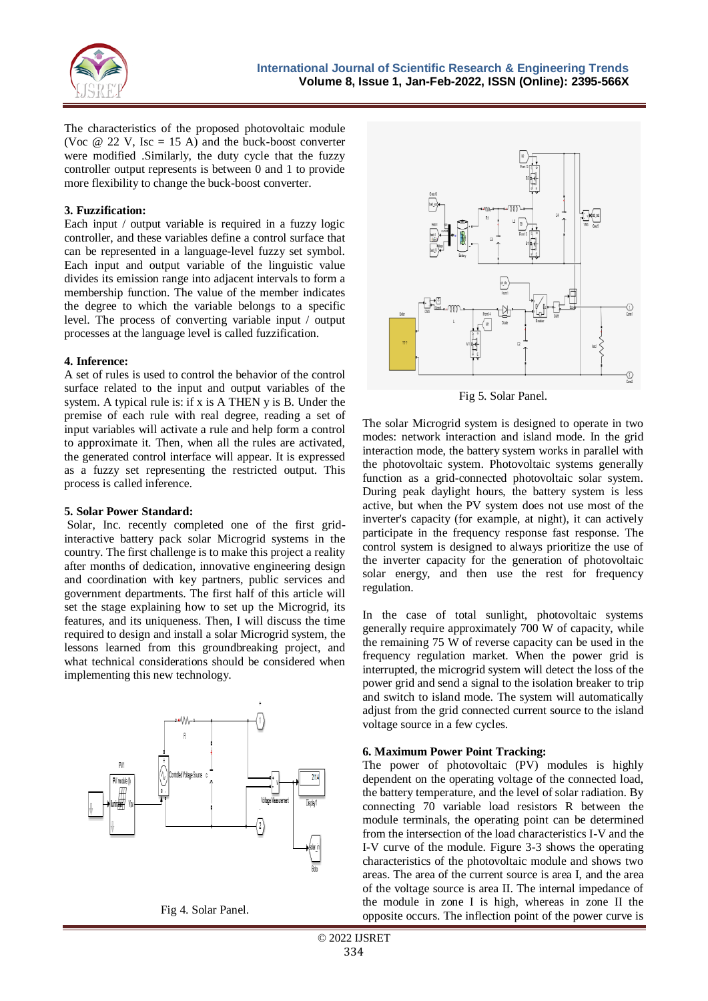

The characteristics of the proposed photovoltaic module (Voc  $\omega$  22 V, Isc = 15 A) and the buck-boost converter were modified .Similarly, the duty cycle that the fuzzy controller output represents is between 0 and 1 to provide more flexibility to change the buck-boost converter.

#### **3. Fuzzification:**

Each input / output variable is required in a fuzzy logic controller, and these variables define a control surface that can be represented in a language-level fuzzy set symbol. Each input and output variable of the linguistic value divides its emission range into adjacent intervals to form a membership function. The value of the member indicates the degree to which the variable belongs to a specific level. The process of converting variable input / output processes at the language level is called fuzzification.

#### **4. Inference:**

A set of rules is used to control the behavior of the control surface related to the input and output variables of the system. A typical rule is: if x is A THEN y is B. Under the premise of each rule with real degree, reading a set of input variables will activate a rule and help form a control to approximate it. Then, when all the rules are activated, the generated control interface will appear. It is expressed as a fuzzy set representing the restricted output. This process is called inference.

#### **5. Solar Power Standard:**

Solar, Inc. recently completed one of the first gridinteractive battery pack solar Microgrid systems in the country. The first challenge is to make this project a reality after months of dedication, innovative engineering design and coordination with key partners, public services and government departments. The first half of this article will set the stage explaining how to set up the Microgrid, its features, and its uniqueness. Then, I will discuss the time required to design and install a solar Microgrid system, the lessons learned from this groundbreaking project, and what technical considerations should be considered when implementing this new technology.



Fig 4. Solar Panel.



Fig 5. Solar Panel.

The solar Microgrid system is designed to operate in two modes: network interaction and island mode. In the grid interaction mode, the battery system works in parallel with the photovoltaic system. Photovoltaic systems generally function as a grid-connected photovoltaic solar system. During peak daylight hours, the battery system is less active, but when the PV system does not use most of the inverter's capacity (for example, at night), it can actively participate in the frequency response fast response. The control system is designed to always prioritize the use of the inverter capacity for the generation of photovoltaic solar energy, and then use the rest for frequency regulation.

In the case of total sunlight, photovoltaic systems generally require approximately 700 W of capacity, while the remaining 75 W of reverse capacity can be used in the frequency regulation market. When the power grid is interrupted, the microgrid system will detect the loss of the power grid and send a signal to the isolation breaker to trip and switch to island mode. The system will automatically adiust from the grid connected current source to the island voltage source in a few cycles.

#### **6. Maximum Power Point Tracking:**

The power of photovoltaic (PV) modules is highly dependent on the operating voltage of the connected load, the battery temperature, and the level of solar radiation. By connecting 70 variable load resistors R between the module terminals, the operating point can be determined from the intersection of the load characteristics I-V and the I-V curve of the module. Figure 3-3 shows the operating characteristics of the photovoltaic module and shows two areas. The area of the current source is area I, and the area of the voltage source is area II. The internal impedance of the module in zone I is high, whereas in zone II the opposite occurs. The inflection point of the power curve is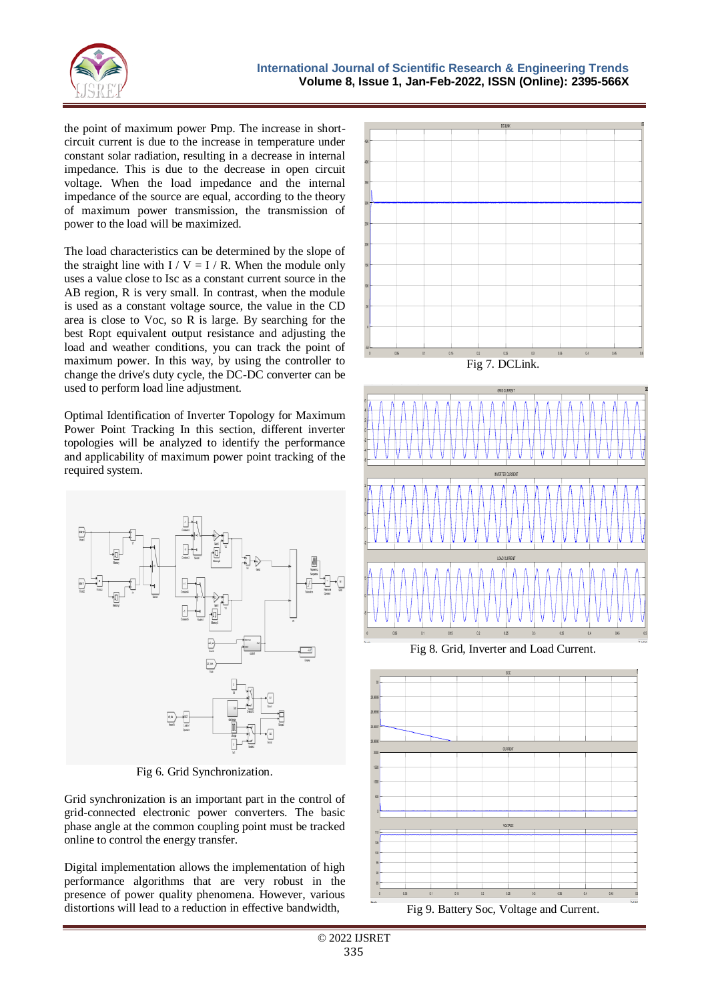

the point of maximum power Pmp. The increase in shortcircuit current is due to the increase in temperature under constant solar radiation, resulting in a decrease in internal impedance. This is due to the decrease in open circuit voltage. When the load impedance and the internal impedance of the source are equal, according to the theory of maximum power transmission, the transmission of power to the load will be maximized.

The load characteristics can be determined by the slope of the straight line with  $I / V = I / R$ . When the module only uses a value close to Isc as a constant current source in the AB region, R is very small. In contrast, when the module is used as a constant voltage source, the value in the CD area is close to Voc, so R is large. By searching for the best Ropt equivalent output resistance and adjusting the load and weather conditions, you can track the point of maximum power. In this way, by using the controller to change the drive's duty cycle, the DC-DC converter can be used to perform load line adjustment.

Optimal Identification of Inverter Topology for Maximum Power Point Tracking In this section, different inverter topologies will be analyzed to identify the performance and applicability of maximum power point tracking of the required system.



Fig 6. Grid Synchronization.

Grid synchronization is an important part in the control of grid-connected electronic power converters. The basic phase angle at the common coupling point must be tracked online to control the energy transfer.

Digital implementation allows the implementation of high performance algorithms that are very robust in the presence of power quality phenomena. However, various distortions will lead to a reduction in effective bandwidth.



Fig 7. DCLink.



Fig 8. Grid, Inverter and Load Current.